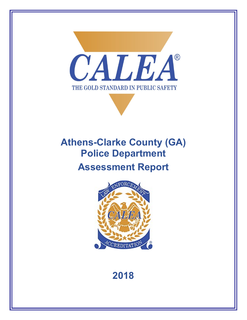

# **Athens-Clarke County (GA) Police Department Assessment Report**



## **2018**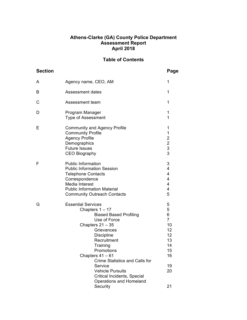#### **Athens-Clarke (GA) County Police Department Assessment Report April 2018**

## **Table of Contents**

| <b>Section</b> |                                                                                                                                                                                                                                                                                                                                                                         | Page                                                                                |
|----------------|-------------------------------------------------------------------------------------------------------------------------------------------------------------------------------------------------------------------------------------------------------------------------------------------------------------------------------------------------------------------------|-------------------------------------------------------------------------------------|
| A              | Agency name, CEO, AM                                                                                                                                                                                                                                                                                                                                                    | 1                                                                                   |
| в              | <b>Assessment dates</b>                                                                                                                                                                                                                                                                                                                                                 | 1                                                                                   |
| С              | Assessment team                                                                                                                                                                                                                                                                                                                                                         | 1                                                                                   |
| D              | Program Manager<br><b>Type of Assessment</b>                                                                                                                                                                                                                                                                                                                            | 1<br>1                                                                              |
| Ε              | <b>Community and Agency Profile</b><br><b>Community Profile</b><br><b>Agency Profile</b><br>Demographics<br><b>Future Issues</b><br><b>CEO Biography</b>                                                                                                                                                                                                                | 1<br>1<br>$\begin{array}{c}\n2 \\ 2 \\ 3 \\ 3\n\end{array}$                         |
| F              | <b>Public Information</b><br><b>Public Information Session</b><br><b>Telephone Contacts</b><br>Correspondence<br>Media Interest<br><b>Public Information Material</b><br><b>Community Outreach Contacts</b>                                                                                                                                                             | 3<br>4<br>4<br>4<br>4<br>4<br>5                                                     |
| G              | <b>Essential Services</b><br>Chapters $1 - 17$<br><b>Biased Based Profiling</b><br>Use of Force<br>Chapters $21 - 35$<br>Grievances<br><b>Discipline</b><br>Recruitment<br>Training<br>Promotions<br>Chapters $41 - 61$<br><b>Crime Statistics and Calls for</b><br>Service<br><b>Vehicle Pursuits</b><br>Critical Incidents, Special<br><b>Operations and Homeland</b> | 5<br>5<br>6<br>$\overline{7}$<br>10<br>12<br>12<br>13<br>14<br>15<br>16<br>19<br>20 |
|                | Security                                                                                                                                                                                                                                                                                                                                                                | 21                                                                                  |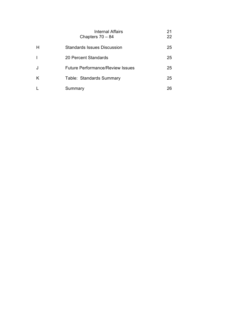|              | <b>Internal Affairs</b><br>Chapters $70 - 84$ | 21<br>22 |
|--------------|-----------------------------------------------|----------|
| H            | <b>Standards Issues Discussion</b>            | 25       |
| $\mathbf{I}$ | 20 Percent Standards                          | 25       |
| J            | <b>Future Performance/Review Issues</b>       | 25       |
| K            | Table: Standards Summary                      | 25       |
|              | Summary                                       | 26       |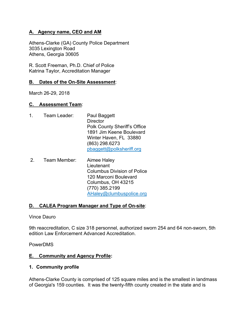## **A. Agency name, CEO and AM**

Athens-Clarke (GA) County Police Department 3035 Lexington Road Athens, Georgia 30605

R. Scott Freeman, Ph.D. Chief of Police Katrina Taylor, Accreditation Manager

## **B. Dates of the On-Site Assessment**:

March 26-29, 2018

## **C. Assessment Team**:

- 1. Team Leader: Paul Baggett **Director** Polk County Sheriff's Office 1891 Jim Keene Boulevard Winter Haven, FL 33880 (863) 298.6273 pbaggett@polksheriff.org
- 2. Team Member: Aimee Haley Lieutenant Columbus Division of Police 120 Marconi Boulevard Columbus, OH 43215 (770) 385.2199 AHaley@clumbuspolice.org

## **D. CALEA Program Manager and Type of On-site**:

Vince Dauro

9th reaccreditation, C size 318 personnel, authorized sworn 254 and 64 non-sworn, 5th edition Law Enforcement Advanced Accreditation.

PowerDMS

#### **E. Community and Agency Profile:**

#### **1. Community profile**

Athens-Clarke County is comprised of 125 square miles and is the smallest in landmass of Georgia's 159 counties. It was the twenty-fifth county created in the state and is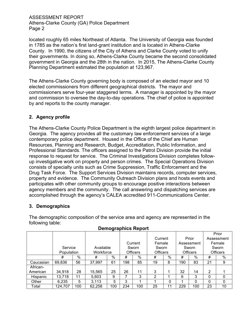located roughly 65 miles Northeast of Atlanta. The University of Georgia was founded in 1785 as the nation's first land-grant institution and is located in Athens-Clarke County. In 1990, the citizens of the City of Athens and Clarke County voted to unify their governments. In doing so, Athens-Clarke County became the second consolidated government in Georgia and the 28th in the nation. In 2015, The Athens-Clarke County Planning Department estimated the population at 123,967.

The Athens-Clarke County governing body is composed of an elected mayor and 10 elected commissioners from different geographical districts. The mayor and commissioners serve four-year staggered terms. A manager is appointed by the mayor and commission to oversee the day-to-day operations. The chief of police is appointed by and reports to the county manager.

## **2. Agency profile**

The Athens-Clarke County Police Department is the eighth largest police department in Georgia. The agency provides all the customary law enforcement services of a large contemporary police department. Housed in the Office of the Chief are Human Resources, Planning and Research, Budget, Accreditation, Public Information, and Professional Standards. The officers assigned to the Patrol Division provide the initial response to request for service. The Criminal Investigations Division completes followup investigative work on property and person crimes. The Special Operations Division consists of specialty units such as Crime Suppression, Traffic Enforcement and the Drug Task Force. The Support Services Division maintains records, computer services, property and evidence. The Community Outreach Division plans and hosts events and participates with other community groups to encourage positive interactions between agency members and the community. The call answering and dispatching services are accomplished through the agency's CALEA accredited 911-Communications Center.

#### **3. Demographics**

The demographic composition of the service area and agency are represented in the following table:

|           |            |     |           | -300 |     | -- 1- -         |                 |    |     |                 |                | Prior           |
|-----------|------------|-----|-----------|------|-----|-----------------|-----------------|----|-----|-----------------|----------------|-----------------|
|           |            |     |           |      |     |                 | Current         |    |     | Prior           |                | Assessment      |
|           |            |     |           |      |     | Current         | Female          |    |     | Assessment      |                | Female          |
|           | Service    |     | Available |      |     | Sworn           | Sworn           |    |     | Sworn           |                | Sworn           |
|           | Population |     | Workforce |      |     | <b>Officers</b> | <b>Officers</b> |    |     | <b>Officers</b> |                | <b>Officers</b> |
|           | #          | %   | #         | $\%$ | #   | %               | #               | %  | #   | %               | #              | %               |
| Caucasian | 69,836     | 56  | 37,997    | 61   | 198 | 85              | 19              | 8  | 190 | 83              | 21             | 9               |
| African-  |            |     |           |      |     |                 |                 |    |     |                 |                |                 |
| American  | 34,918     | 28  | 15,565    | 25   | 26  | 11              | 3               |    | 32  | 14              | $\overline{2}$ |                 |
| Hispanic  | 13,718     | 11  | 5,603     | 9    |     | 3               | 2               |    | 6   | 3               | $\Omega$       | 0               |
| Other     | 6,235      | 5   | 3,113     | 5    | 3   |                 |                 | 0  |     | $\Omega$        | $\Omega$       | $\mathbf{0}$    |
| Total     | 124,707    | 100 | 62,258    | 100  | 234 | 100             | 25              | 11 | 229 | 100             | 23             | 10              |

#### **Demographics Report**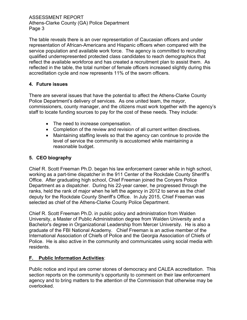The table reveals there is an over representation of Caucasian officers and under representation of African-Americans and Hispanic officers when compared with the service population and available work force. The agency is committed to recruiting qualified underrepresented protected class candidates to reach demographics that reflect the available workforce and has created a recruitment plan to assist them. As reflected in the table, the total number of female officers increased slightly during this accreditation cycle and now represents 11% of the sworn officers.

## **4. Future issues**

There are several issues that have the potential to affect the Athens-Clarke County Police Department's delivery of services. As one united team, the mayor, commissioners, county manager, and the citizens must work together with the agency's staff to locate funding sources to pay for the cost of these needs. They include:

- The need to increase compensation.
- Completion of the review and revision of all current written directives.
- Maintaining staffing levels so that the agency can continue to provide the level of service the community is accustomed while maintaining a reasonable budget.

## **5. CEO biography**

Chief R. Scott Freeman Ph.D. began his law enforcement career while in high school, working as a part-time dispatcher in the 911 Center of the Rockdale County Sheriff's Office. After graduating high school, Chief Freeman joined the Conyers Police Department as a dispatcher. During his 22-year career, he progressed through the ranks, held the rank of major when he left the agency in 2012 to serve as the chief deputy for the Rockdale County Sheriff's Office. In July 2015, Chief Freeman was selected as chief of the Athens-Clarke County Police Department.

Chief R. Scott Freeman Ph.D. in public policy and administration from Walden University, a Master of Public Administration degree from Walden University and a Bachelor's degree in Organizational Leadership from Mercer University. He is also a graduate of the FBI National Academy. Chief Freeman is an active member of the International Association of Chiefs of Police and the Georgia Association of Chiefs of Police. He is also active in the community and communicates using social media with residents.

## **F. Public Information Activities**:

Public notice and input are corner stones of democracy and CALEA accreditation. This section reports on the community's opportunity to comment on their law enforcement agency and to bring matters to the attention of the Commission that otherwise may be overlooked.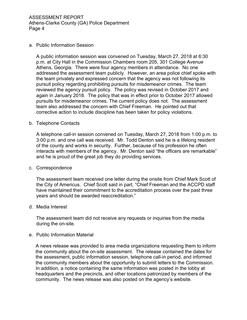#### a. Public Information Session

A public information session was convened on Tuesday, March 27, 2018 at 6:30 p.m. at City Hall in the Commission Chambers room 205, 301 College Avenue Athens, Georgia. There were four agency members in attendance. No one addressed the assessment team publicly. However, an area police chief spoke with the team privately and expressed concern that the agency was not following its pursuit policy regarding prohibiting pursuits for misdemeanor crimes. The team reviewed the agency pursuit policy. The policy was revised in October 2017 and again in January 2018. The policy that was in effect prior to October 2017 allowed pursuits for misdemeanor crimes. The current policy does not. The assessment team also addressed the concern with Chief Freeman. He pointed out that corrective action to include discipline has been taken for policy violations.

#### b. Telephone Contacts

A telephone call-in session convened on Tuesday, March 27, 2018 from 1:00 p.m. to 3:00 p.m. and one call was received. Mr. Todd Denton said he is a lifelong resident of the county and works in security. Further, because of his profession he often interacts with members of the agency. Mr. Denton said "the officers are remarkable" and he is proud of the great job they do providing services.

#### c. Correspondence

The assessment team received one letter during the onsite from Chief Mark Scott of the City of Americus. Chief Scott said in part, "Chief Freeman and the ACCPD staff have maintained their commitment to the accreditation process over the past three years and should be awarded reaccreditation."

#### d. Media Interest

The assessment team did not receive any requests or inquiries from the media during the on-site.

#### e. Public Information Material

A news release was provided to area media organizations requesting them to inform the community about the on-site assessment. The release contained the dates for the assessment, public information session, telephone call-in period, and informed the community members about the opportunity to submit letters to the Commission. In addition, a notice containing the same information was posted in the lobby at headquarters and the precincts, and other locations patronized by members of the community. The news release was also posted on the agency's website.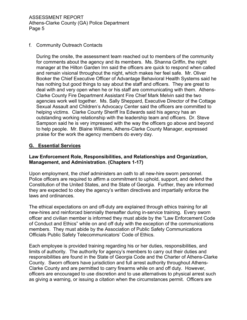#### f. Community Outreach Contacts

During the onsite, the assessment team reached out to members of the community for comments about the agency and its members. Ms. Shanna Griffin, the night manager at the Hilton Garden Inn said the officers are quick to respond when called and remain visional throughout the night, which makes her feel safe. Mr. Oliver Booker the Chief Executive Officer of Advantage Behavioral Health Systems said he has nothing but good things to say about the staff and officers. They are great to deal with and very open when he or his staff are communicating with them. Athens-Clarke County Fire Department Assistant Fire Chief Mark Melvin said the two agencies work well together. Ms. Sally Sheppard, Executive Director of the Cottage Sexual Assault and Children's Advocacy Center said the officers are committed to helping victims. Clarke County Sheriff Ira Edwards said his agency has an outstanding working relationship with the leadership team and officers. Dr. Steve Sampson said he is very impressed with the way the officers go above and beyond to help people. Mr. Blaine Williams, Athens-Clarke County Manager, expressed praise for the work the agency members do every day.

## **G. Essential Services**

## **Law Enforcement Role, Responsibilities, and Relationships and Organization, Management, and Administration. (Chapters 1-17)**

Upon employment, the chief administers an oath to all new-hire sworn personnel. Police officers are required to affirm a commitment to uphold, support, and defend the Constitution of the United States, and the State of Georgia. Further, they are informed they are expected to obey the agency's written directives and impartially enforce the laws and ordinances.

The ethical expectations on and off-duty are explained through ethics training for all new-hires and reinforced biennially thereafter during in-service training. Every sworn officer and civilian member is informed they must abide by the "Law Enforcement Code of Conduct and Ethics" while on and off duty with the exception of the communications members. They must abide by the Association of Public Safety Communications Officials Public Safety Telecommunicators' Code of Ethics.

Each employee is provided training regarding his or her duties, responsibilities, and limits of authority. The authority for agency's members to carry out their duties and responsibilities are found in the State of Georgia Code and the Charter of Athens-Clarke County. Sworn officers have jurisdiction and full arrest authority throughout Athens-Clarke County and are permitted to carry firearms while on and off duty. However, officers are encouraged to use discretion and to use alternatives to physical arrest such as giving a warning, or issuing a citation when the circumstances permit. Officers are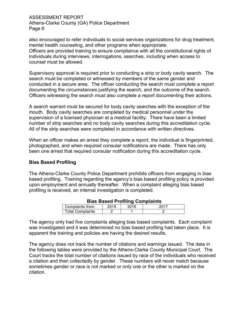also encouraged to refer individuals to social services organizations for drug treatment, mental health counseling, and other programs when appropriate. Officers are provided training to ensure compliance with all the constitutional rights of individuals during interviews, interrogations, searches, including when access to counsel must be allowed.

Supervisory approval is required prior to conducting a strip or body cavity search. The search must be completed or witnessed by members of the same gender and conducted in a secure area. The officer conducting the search must complete a report documenting the circumstances justifying the search, and the outcome of the search. Officers witnessing the search must also complete a report documenting their actions.

A search warrant must be secured for body cavity searches with the exception of the mouth. Body cavity searches are completed by medical personnel under the supervision of a licensed physician at a medical facility. There have been a limited number of strip searches and no body cavity searches during this accreditation cycle. All of the strip searches were completed in accordance with written directives.

When an officer makes an arrest they complete a report, the individual is fingerprinted, photographed, and when required consular notifications are made. There has only been one arrest that required consular notification during this accreditation cycle.

## **Bias Based Profiling**

The Athens-Clarke County Police Department prohibits officers from engaging in bias based profiling. Training regarding the agency's bias based profiling policy is provided upon employment and annually thereafter. When a complaint alleging bias based profiling is received, an internal investigation is completed.

| 2015<br>2016<br>Complaints from: |  |
|----------------------------------|--|
| <b>Total Complaints</b>          |  |

The agency only had five complaints alleging bias based complaints. Each complaint was investigated and it was determined no bias based profiling had taken place. It is apparent the training and policies are having the desired results.

The agency does not track the number of citations and warnings issued. The data in the following tables were provided by the Athens-Clarke County Municipal Court. The Court tracks the total number of citations issued by race of the individuals who received a citation and then collectedly by gender. These numbers will never match because sometimes gender or race is not marked or only one or the other is marked on the citation.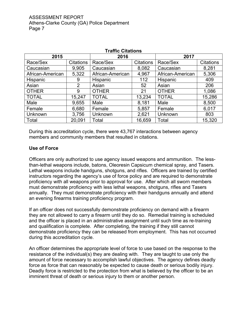| <b>Traffic Citations</b> |                  |                  |                  |                  |                  |  |
|--------------------------|------------------|------------------|------------------|------------------|------------------|--|
| 2015                     |                  | 2016             |                  | 2017             |                  |  |
| Race/Sex                 | <b>Citations</b> | Race/Sex         | <b>Citations</b> | Race/Sex         | <b>Citations</b> |  |
| Caucasian                | 9,905            | Caucasian        | 8,082            | Caucasian        | 8,281            |  |
| African-American         | 5,322            | African-American | 4,967            | African-American | 5,306            |  |
| Hispanic                 | 9                | Hispanic         | 112              | Hispanic         | 409              |  |
| Asian                    | 2                | Asian            | 52               | Asian            | 206              |  |
| <b>OTHER</b>             | 9                | <b>OTHER</b>     | 21               | <b>OTHER</b>     | 1,086            |  |
| <b>TOTAL</b>             | 15,247           | <b>TOTAL</b>     | 13,234           | <b>TOTAL</b>     | 15,286           |  |
| Male                     | 9,655            | Male             | 8,181            | Male             | 8,500            |  |
| Female                   | 6,680            | Female           | 5,857            | Female           | 6,017            |  |
| Unknown                  | 3,756            | Unknown          | 2,621            | Unknown          | 803              |  |
| Total                    | 20,091           | Total            | 16,659           | Total            | 15,320           |  |

During this accreditation cycle, there were 43,767 interactions between agency members and community members that resulted in citations.

#### **Use of Force**

Officers are only authorized to use agency issued weapons and ammunition. The lessthan-lethal weapons include, batons, Oleoresin Capsicum chemical spray, and Tasers. Lethal weapons include handguns, shotguns, and rifles. Officers are trained by certified instructors regarding the agency's use of force policy and are required to demonstrate proficiency with all weapons prior to approval for use. After which all sworn members must demonstrate proficiency with less lethal weapons, shotguns, rifles and Tasers annually. They must demonstrate proficiency with their handguns annually and attend an evening firearms training proficiency program.

If an officer does not successfully demonstrate proficiency on demand with a firearm they are not allowed to carry a firearm until they do so. Remedial training is scheduled and the officer is placed in an administrative assignment until such time as re-training and qualification is complete. After completing, the training if they still cannot demonstrate proficiency they can be released from employment. This has not occurred during this accreditation cycle.

An officer determines the appropriate level of force to use based on the response to the resistance of the individual(s) they are dealing with. They are taught to use only the amount of force necessary to accomplish lawful objectives. The agency defines deadly force as force that can reasonably be expected to cause death or serious bodily injury. Deadly force is restricted to the protection from what is believed by the officer to be an imminent threat of death or serious injury to them or another person.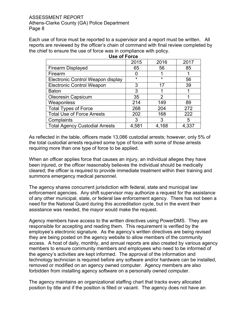Each use of force must be reported to a supervisor and a report must be written. All reports are reviewed by the officer's chain of command with final review completed by the chief to ensure the use of force was in compliance with policy. **Use of Force**

| 2015    | 2016    | 2017  |  |  |  |
|---------|---------|-------|--|--|--|
| 65      | 56      | 85    |  |  |  |
|         |         |       |  |  |  |
| $\star$ | $\star$ | 56    |  |  |  |
| 3       | 17      | 39    |  |  |  |
| 3       |         |       |  |  |  |
| 35      | 2       |       |  |  |  |
| 214     | 149     | 89    |  |  |  |
| 268     | 204     | 272   |  |  |  |
| 202     | 168     | 222   |  |  |  |
| 3       | 3       | 5     |  |  |  |
| 4,581   | 4,168   | 4,337 |  |  |  |
|         |         |       |  |  |  |

As reflected in the table, officers made 13,086 custodial arrests; however, only 5% of the total custodial arrests required some type of force with some of those arrests requiring more than one type of force to be applied.

When an officer applies force that causes an injury, an individual alleges they have been injured, or the officer reasonably believes the individual should be medically cleared; the officer is required to provide immediate treatment within their training and summons emergency medical personnel.

The agency shares concurrent jurisdiction with federal, state and municipal law enforcement agencies. Any shift supervisor may authorize a request for the assistance of any other municipal, state, or federal law enforcement agency. There has not been a need for the National Guard during this accreditation cycle, but in the event their assistance was needed, the mayor would make the request.

Agency members have access to the written directives using PowerDMS. They are responsible for accepting and reading them. This requirement is verified by the employee's electronic signature. As the agency's written directives are being revised they are being posted on the agency website to allow members of the community access. A host of daily, monthly, and annual reports are also created by various agency members to ensure community members and employees who need to be informed of the agency's activities are kept informed. The approval of the information and technology technician is required before any software and/or hardware can be installed, removed or modified on an agency owned computer. Agency members are also forbidden from installing agency software on a personally owned computer.

The agency maintains an organizational staffing chart that tracks every allocated position by title and if the position is filled or vacant. The agency does not have an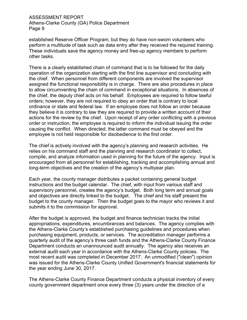established Reserve Officer Program, but they do have non-sworn volunteers who perform a multitude of task such as data entry after they received the required training. These individuals save the agency money and free-up agency members to perform other tasks.

There is a clearly established chain of command that is to be followed for the daily operation of the organization starting with the first line supervisor and concluding with the chief. When personnel from different components are involved the supervisor assigned the functional responsibility is in charge. There are also procedures in place to allow circumventing the chain of command in exceptional situations. In absences of the chief, the deputy chief acts on his behalf. Employees are required to follow lawful orders; however, they are not required to obey an order that is contrary to local ordinance or state and federal law. If an employee does not follow an order because they believe it is contrary to law they are required to provide a written account of their actions for the review by the chief. Upon receipt of any order conflicting with a previous order or instruction, the employee is required to inform the individual issuing the order causing the conflict. When directed, the latter command must be obeyed and the employee is not held responsible for disobedience to the first order.

The chief is actively involved with the agency's planning and research activities. He relies on his command staff and the planning and research coordinator to collect, compile, and analyze information used in planning for the future of the agency. Input is encouraged from all personnel for establishing, tracking and accomplishing annual and long-term objectives and the creation of the agency's multiyear plan.

Each year, the county manager distributes a packet containing general budget instructions and the budget calendar. The chief, with input from various staff and supervisory personnel, creates the agency's budget. Both long term and annual goals and objectives are directly linked to the budget. The chief and his staff present the budget to the county manager. Then the budget goes to the mayor who reviews it and submits it to the commission for approval.

After the budget is approved, the budget and finance technician tracks the initial appropriations, expenditures, encumbrances and balances. The agency complies with the Athens-Clarke County's established purchasing guidelines and procedures when purchasing equipment, products, or services. The accreditation manager performs a quarterly audit of the agency's three cash funds and the Athens-Clarke County Finance Department conducts an unannounced audit annually. The agency also receives an external audit each year in accordance with the Athens-Clarke County policies. The most recent audit was completed in December 2017. An unmodified ("clean") opinion was issued for the Athens-Clarke County Unified Government's financial statements for the year ending June 30, 2017.

The Athens-Clarke County Finance Department conducts a physical inventory of every county government department once every three (3) years under the direction of a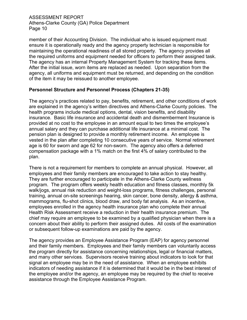member of their Accounting Division. The individual who is issued equipment must ensure it is operationally ready and the agency property technician is responsible for maintaining the operational readiness of all stored property. The agency provides all the required uniforms and equipment needed for officers to perform their assigned task. The agency has an internal Property Management System for tracking these items. After the initial issue, worn items are replaced as needed. Upon separation from the agency, all uniforms and equipment must be returned, and depending on the condition of the item it may be reissued to another employee.

#### **Personnel Structure and Personnel Process (Chapters 21-35)**

The agency's practices related to pay, benefits, retirement, and other conditions of work are explained in the agency's written directives and Athens-Clarke County policies. The health programs include medical options, dental, vision benefits, and disability insurance. Basic life insurance and accidental death and dismemberment Insurance is provided at no cost to the employee in an amount equal to two times the employee's annual salary and they can purchase additional life insurance at a minimal cost. The pension plan is designed to provide a monthly retirement income. An employee is vested in the plan after completing 10 consecutive years of service. Normal retirement age is 60 for sworn and age 62 for non-sworn. The agency also offers a deferred compensation package with a 1% match on the first 4% of salary contributed to the plan.

There is not a requirement for members to complete an annual physical. However, all employees and their family members are encouraged to take action to stay healthy. They are further encouraged to participate in the Athens-Clarke County wellness program. The program offers weekly health education and fitness classes, monthly 5k walk/jogs, annual risk reduction and weight-loss programs, fitness challenges, personal training, annual on-site screenings hearing, skin cancer, bone density, allergy & asthma, mammograms, flu-shot clinics, blood draw, and body fat analysis. As an incentive, employees enrolled in the agency health insurance plan who complete their annual Health Risk Assessment receive a reduction in their health insurance premium. The chief may require an employee to be examined by a qualified physician when there is a concern about their ability to perform their assigned duties. All costs of the examination or subsequent follow-up examinations are paid by the agency.

The agency provides an Employee Assistance Program (EAP) for agency personnel and their family members. Employees and their family members can voluntarily access the program directly for assistance concerning relationships, legal or financial matters, and many other services. Supervisors receive training about indicators to look for that signal an employee may be in the need of assistance. When an employee exhibits indicators of needing assistance if it is determined that it would be in the best interest of the employee and/or the agency, an employee may be required by the chief to receive assistance through the Employee Assistance Program.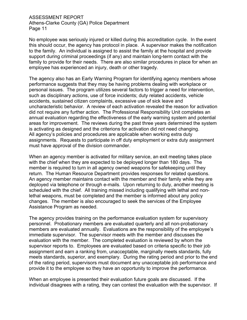No employee was seriously injured or killed during this accreditation cycle. In the event this should occur, the agency has protocol in place. A supervisor makes the notification to the family. An individual is assigned to assist the family at the hospital and provide support during criminal proceedings (if any) and maintain long-term contact with the family to provide for their needs. There are also similar procedures in place for when an employee has experienced an injury, death or other tragedy.

The agency also has an Early Warning Program for identifying agency members whose performance suggests that they may be having problems dealing with workplace or personal issues. The program utilizes several factors to trigger a need for intervention, such as disciplinary actions, use of force incidents; duty related accidents, vehicle accidents, sustained citizen complaints, excessive use of sick leave and uncharacteristic behavior. A review of each activation revealed the reason for activation did not require any further action. The Professional Responsibility Unit completes an annual evaluation regarding the effectiveness of the early warning system and potential areas for improvement. The reviews during the past three years determined the system is activating as designed and the criterions for activation did not need changing. All agency's policies and procedures are applicable when working extra duty assignments. Requests to participate in off duty employment or extra duty assignment must have approval of the division commander.

When an agency member is activated for military service, an exit meeting takes place with the chief when they are expected to be deployed longer than 180 days. The member is required to turn in all agency owned weapons for safekeeping until they return. The Human Resource Department provides responses for related questions. An agency member maintains contact with the member and their family while they are deployed via telephone or through e-mails. Upon returning to duty, another meeting is scheduled with the chief. All training missed including qualifying with lethal and nonlethal weapons, must be completed and the member is informed about any policy changes. The member is also encouraged to seek the services of the Employee Assistance Program as needed.

The agency provides training on the performance evaluation system for supervisory personnel. Probationary members are evaluated quarterly and all non-probationary members are evaluated annually. Evaluations are the responsibility of the employee's immediate supervisor. The supervisor meets with the member and discusses the evaluation with the member. The completed evaluation is reviewed by whom the supervisor reports to. Employees are evaluated based on criteria specific to their job assignment and earn a ranking from, unacceptable, marginally meets standards, fully meets standards, superior, and exemplary. During the rating period and prior to the end of the rating period, supervisors must document any unacceptable job performance and provide it to the employee so they have an opportunity to improve the performance.

When an employee is presented their evaluation future goals are discussed. If the individual disagrees with a rating, they can contest the evaluation with the supervisor. If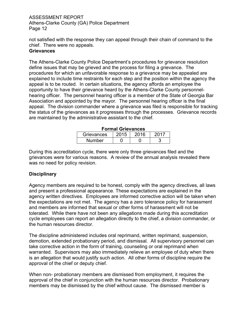not satisfied with the response they can appeal through their chain of command to the chief. There were no appeals.

#### **Grievances**

The Athens-Clarke County Police Department's procedures for grievance resolution define issues that may be grieved and the process for filing a grievance. The procedures for which an unfavorable response to a grievance may be appealed are explained to include time restraints for each step and the position within the agency the appeal is to be routed. In certain situations, the agency affords an employee the opportunity to have their grievance heard by the Athens-Clarke County personnelhearing officer. The personnel hearing officer is a member of the State of Georgia Bar Association and appointed by the mayor. The personnel hearing officer is the final appeal. The division commander where a grievance was filed is responsible for tracking the status of the grievances as it progresses through the processes. Grievance records are maintained by the administrative assistant to the chief.

| Formal Grievances |      |      |  |  |  |  |
|-------------------|------|------|--|--|--|--|
| Grievances        | 2015 | 2016 |  |  |  |  |
| <b>Number</b>     |      |      |  |  |  |  |

During this accreditation cycle, there were only three grievances filed and the grievances were for various reasons. A review of the annual analysis revealed there was no need for policy revision.

## **Disciplinary**

Agency members are required to be honest, comply with the agency directives, all laws and present a professional appearance. These expectations are explained in the agency written directives. Employees are informed corrective action will be taken when the expectations are not met. The agency has a zero tolerance policy for harassment and members are informed that sexual or other forms of harassment will not be tolerated. While there have not been any allegations made during this accreditation cycle employees can report an allegation directly to the chief, a division commander, or the human resources director.

The discipline administered includes oral reprimand, written reprimand, suspension, demotion, extended probationary period, and dismissal. All supervisory personnel can take corrective action in the form of training, counseling or oral reprimand when warranted. Supervisors may also immediately relieve an employee of duty when there is an allegation that would justify such action. All other forms of discipline require the approval of the chief or deputy chief.

When non- probationary members are dismissed from employment, it requires the approval of the chief in conjunction with the human resources director. Probationary members may be dismissed by the chief without cause. The dismissed member is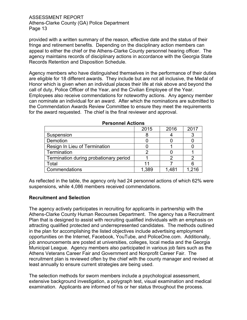provided with a written summary of the reason, effective date and the status of their fringe and retirement benefits. Depending on the disciplinary action members can appeal to either the chief or the Athens-Clarke County personnel hearing officer. The agency maintains records of disciplinary actions in accordance with the Georgia State Records Retention and Disposition Schedule.

Agency members who have distinguished themselves in the performance of their duties are eligible for 18 different awards. They include but are not all inclusive, the Medal of Honor which is given when an individual places their life at risk above and beyond the call of duty, Police Officer of the Year, and the Civilian Employee of the Year. Employees also receive commendations for noteworthy actions. Any agency member can nominate an individual for an award. After which the nominations are submitted to the Commendation Awards Review Committee to ensure they meet the requirements for the award requested. The chief is the final reviewer and approval.

|                                        | 2015  | 2016  | 2017  |
|----------------------------------------|-------|-------|-------|
| Suspension                             |       |       |       |
| Demotion                               |       |       |       |
| Resign In Lieu of Termination          |       |       |       |
| Termination                            |       |       |       |
| Termination during probationary period |       |       |       |
| Total                                  |       |       |       |
| Commendations                          | 1.389 | 1,481 | 1.216 |

#### **Personnel Actions**

As reflected in the table, the agency only had 24 personnel actions of which 62% were suspensions, while 4,086 members received commendations.

#### **Recruitment and Selection**

The agency actively participates in recruiting for applicants in partnership with the Athens-Clarke County Human Recourses Department. The agency has a Recruitment Plan that is designed to assist with recruiting qualified individuals with an emphasis on attracting qualified protected and underrepresented candidates. The methods outlined in the plan for accomplishing the listed objectives include advertising employment opportunities on the Internet, Facebook, YouTube, and PoliceOne.com. Additionally, job announcements are posted at universities, colleges, local media and the Georgia Municipal League. Agency members also participated in various job fairs such as the Athens Veterans Career Fair and Government and Nonprofit Career Fair. The recruitment plan is reviewed often by the chief with the county manager and revised at least annually to ensure current strategies are being used.

The selection methods for sworn members include a psychological assessment, extensive background investigation, a polygraph test, visual examination and medical examination. Applicants are informed of his or her status throughout the process.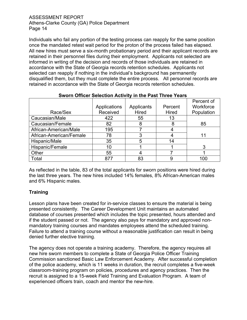Individuals who fail any portion of the testing process can reapply for the same position once the mandated retest wait period for the proton of the process failed has elapsed. All new hires must serve a six-month probationary period and their applicant records are retained in their personnel files during their employment. Applicants not selected are informed in writing of the decision and records of those individuals are retained in accordance with the State of Georgia records retention schedules. Applicants not selected can reapply if nothing in the individual's background has permanently disqualified them, but they must complete the entire process. All personnel records are retained in accordance with the State of Georgia records retention schedules.

|                         |              |            |         | Percent of |
|-------------------------|--------------|------------|---------|------------|
|                         | Applications | Applicants | Percent | Workforce  |
| Race/Sex                | Received     | Hired      | Hired   | Population |
| Caucasian/Male          | 422          | 55         | 13      |            |
| Caucasian/Female        | 82           | 8          | 8       | 85         |
| African-American/Male   | 195          |            |         |            |
| African-American/Female | 78           | 3          |         | 11         |
| Hispanic/Male           | 35           | 5          | 14      |            |
| Hispanic/Female         | 10           |            |         | 3          |
| Other                   | 55           |            |         |            |
| Total                   | 877          | 83         | 9       | 100        |

## **Sworn Officer Selection Activity in the Past Three Years**

As reflected in the table, 83 of the total applicants for sworn positions were hired during the last three years. The new hires included 14% females, 8% African-American males and 6% Hispanic males.

## **Training**

Lesson plans have been created for in-service classes to ensure the material is being presented consistently. The Career Development Unit maintains an automated database of courses presented which includes the topic presented, hours attended and if the student passed or not. The agency also pays for mandatory and approved nonmandatory training courses and mandates employees attend the scheduled training. Failure to attend a training course without a reasonable justification can result in being denied further elective training.

The agency does not operate a training academy. Therefore, the agency requires all new hire sworn members to complete a State of Georgia Police Officer Training Commission sanctioned Basic Law Enforcement Academy. After successful completion of the police academy, which is 11 weeks in duration, the recruit completes a five-week classroom-training program on policies, procedures and agency practices. Then the recruit is assigned to a 15-week Field Training and Evaluation Program. A team of experienced officers train, coach and mentor the new-hire.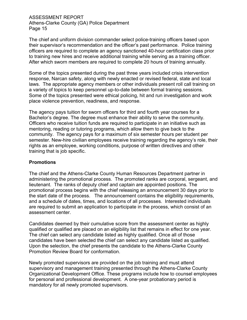The chief and uniform division commander select police-training officers based upon their supervisor's recommendation and the officer's past performance. Police training officers are required to complete an agency sanctioned 40-hour certification class prior to training new hires and receive additional training while serving as a training officer. After which sworn members are required to complete 20 hours of training annually.

Some of the topics presented during the past three years included crisis intervention response, Narcan safety, along with newly enacted or revised federal, state and local laws. The appropriate agency members or other individuals present roll call training on a variety of topics to keep personnel up-to-date between formal training sessions. Some of the topics presented were ethical policing, hit and run investigation and work place violence prevention, readiness, and response.

The agency pays tuition for sworn officers for third and fourth year courses for a Bachelor's degree. The degree must enhance their ability to serve the community. Officers who receive tuition funds are required to participate in an initiative such as mentoring, reading or tutoring programs, which allow them to give back to the community. The agency pays for a maximum of six semester hours per student per semester. New-hire civilian employees receive training regarding the agency's role, their rights as an employee, working conditions, purpose of written directives and other training that is job specific.

#### **Promotions**

The chief and the Athens-Clarke County Human Resources Department partner in administering the promotional process. The promoted ranks are corporal, sergeant, and lieutenant. The ranks of deputy chief and captain are appointed positions. The promotional process begins with the chief releasing an announcement 30 days prior to the start date of the process. The announcement contains the eligibility requirements, and a schedule of dates, times, and locations of all processes. Interested individuals are required to submit an application to participate in the process, which consist of an assessment center.

Candidates deemed by their cumulative score from the assessment center as highly qualified or qualified are placed on an eligibility list that remains in effect for one year. The chief can select any candidate listed as highly qualified. Once all of those candidates have been selected the chief can select any candidate listed as qualified. Upon the selection, the chief presents the candidate to the Athens-Clarke County Promotion Review Board for conformation.

Newly promoted supervisors are provided on the job training and must attend supervisory and management training presented through the Athens-Clarke County Organizational Development Office. These programs include how to counsel employees for personal and professional development. A one-year probationary period is mandatory for all newly promoted supervisors.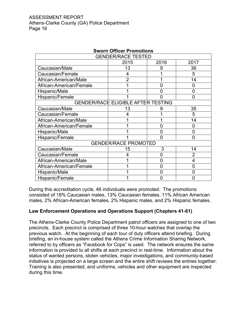| <b>Sworn Officer Promotions</b> |                                           |   |                |  |  |  |
|---------------------------------|-------------------------------------------|---|----------------|--|--|--|
| <b>GENDER/RACE TESTED</b>       |                                           |   |                |  |  |  |
| 2015<br>2016<br>2017            |                                           |   |                |  |  |  |
| Caucasian/Male                  | 13                                        | 9 | 36             |  |  |  |
| Caucasian/Female                | 4                                         |   | 5              |  |  |  |
| African-American/Male           | $\overline{2}$                            |   | 14             |  |  |  |
| African-American/Female         |                                           | 0 | 0              |  |  |  |
| Hispanic/Male                   |                                           | Ω | 0              |  |  |  |
| Hispanic/Female                 |                                           |   | 0              |  |  |  |
|                                 | <b>GENDER/RACE ELIGIBLE AFTER TESTING</b> |   |                |  |  |  |
| Caucasian/Male                  | 13                                        | 9 | 35             |  |  |  |
| Caucasian/Female                | 4                                         |   | 5              |  |  |  |
| African-American/Male           |                                           |   | 14             |  |  |  |
| African-American/Female         |                                           |   | 0              |  |  |  |
| Hispanic/Male                   |                                           | ი | O              |  |  |  |
| Hispanic/Female                 |                                           | 0 | 0              |  |  |  |
|                                 | <b>GENDER/RACE PROMOTED</b>               |   |                |  |  |  |
| Caucasian/Male                  | 15                                        | 3 | 14             |  |  |  |
| Caucasian/Female                | 4                                         | O | $\overline{2}$ |  |  |  |
| African-American/Male           |                                           | O | 4              |  |  |  |
| African-American/Female         |                                           | ი |                |  |  |  |
| Hispanic/Male                   |                                           | 0 | 0              |  |  |  |
| Hispanic/Female                 |                                           |   |                |  |  |  |

During this accreditation cycle, 46 individuals were promoted. The promotions consisted of 18% Caucasian males, 13% Caucasian females, 11% African American males, 2% African-American females, 2% Hispanic males, and 2% Hispanic females.

## **Law Enforcement Operations and Operations Support (Chapters 41-61)**

The Athens-Clarke County Police Department patrol officers are assigned to one of two precincts. Each precinct is comprised of three 10-hour watches that overlap the previous watch. At the beginning of each tour of duty officers attend briefing. During briefing, an in-house system called the Athens Crime Information Sharing Network, referred to by officers as "Facebook for Cops" is used. The network ensures the same information is provided to all shifts at each precinct in real-time. Information about the status of wanted persons, stolen vehicles, major investigations, and community-based initiatives is projected on a large screen and the entire shift reviews the entries together. Training is also presented, and uniforms, vehicles and other equipment are inspected during this time.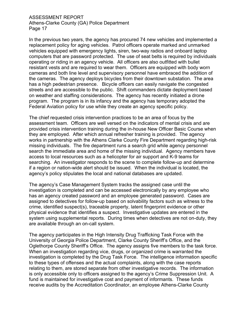In the previous two years, the agency has procured 74 new vehicles and implemented a replacement policy for aging vehicles. Patrol officers operate marked and unmarked vehicles equipped with emergency lights, siren, two-way radios and onboard laptop computers that are password protected. The use of seat belts is required by individuals operating or riding in an agency vehicle. All officers are also outfitted with bullet resistant vests and are required to wear them. Officers are equipped with body worn cameras and both line level and supervisory personnel have embraced the addition of the cameras. The agency deploys bicycles from their downtown substation. The area has a high pedestrian presence. Bicycle officers can easily navigate the congested streets and are accessible to the public. Shift commanders dictate deployment based on weather and staffing considerations. The agency has recently initiated a drone program. The program is in its infancy and the agency has temporary adopted the Federal Aviation policy for use while they create an agency specific policy.

The chief requested crisis intervention practices to be an area of focus by the assessment team. Officers are well versed on the indicators of mental crisis and are provided crisis intervention training during the in-house New Officer Basic Course when they are employed. After which annual refresher training is provided. The agency works in partnership with the Athens Clarke County Fire Department regarding high-risk missing individuals. The fire department runs a search grid while agency personnel search the immediate area and home of the missing individual. Agency members have access to local resources such as a helicopter for air support and K-9 teams for searching. An investigator responds to the scene to complete follow-up and determine if a region or nation-wide alert should be issued. When the individual is located, the agency's policy stipulates the local and national databases are updated.

The agency's Case Management System tracks the assigned case until the investigation is completed and can be accessed electronically by any employee who has an agency created password and an employee generated password. Cases are assigned to detectives for follow-up based on solvability factors such as witness to the crime, identified suspect(s), traceable property, latent fingerprint evidence or other physical evidence that identifies a suspect. Investigative updates are entered in the system using supplemental reports. During times when detectives are not on-duty, they are available through an on-call system.

The agency participates in the High Intensity Drug Trafficking Task Force with the University of Georgia Police Department, Clarke County Sheriff's Office, and the Oglethorpe County Sheriff's Office. The agency assigns five members to the task force. When an investigation regarding vice, drugs, or organized crime is warranted the investigation is completed by the Drug Task Force. The intelligence information specific to these types of offenses and the actual complaints, along with the case reports relating to them, are stored separate from other investigative records. The information is only accessible only to officers assigned to the agency's Crime Suppression Unit. A fund is maintained for investigative cost and payment of informants. These funds receive audits by the Accreditation Coordinator, an employee Athens-Clarke County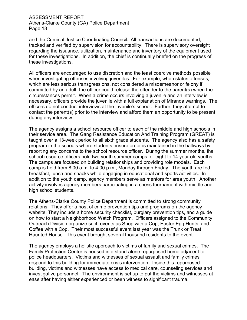and the Criminal Justice Coordinating Council. All transactions are documented, tracked and verified by supervision for accountability. There is supervisory oversight regarding the issuance, utilization, maintenance and inventory of the equipment used for these investigations. In addition, the chief is continually briefed on the progress of these investigations.

All officers are encouraged to use discretion and the least coercive methods possible when investigating offenses involving juveniles. For example, when status offenses, which are less serious transgressions, not considered a misdemeanor or felony if committed by an adult, the officer could release the offender to the parent(s) when the circumstances permit. When a crime occurs involving a juvenile and an interview is necessary, officers provide the juvenile with a full explanation of Miranda warnings. The officers do not conduct interviews at the juvenile's school. Further, they attempt to contact the parent(s) prior to the interview and afford them an opportunity to be present during any interview.

The agency assigns a school resource officer to each of the middle and high schools in their service area. The Gang Resistance Education And Training Program (GREAT) is taught over a 13-week period to all sixth grade students. The agency also has a safety program in the schools where students ensure order is maintained in the hallways by reporting any concerns to the school resource officer. During the summer months, the school resource officers hold two youth summer camps for eight to 14 year old youths. The camps are focused on building relationships and providing role models. Each camp is held from 8:00 a.m. to 4:00 p.m., Monday through Friday. The youth are fed breakfast, lunch and snacks while engaging in educational and sports activities. In addition to the youth camp, agency members serve as mentors for area youth. Another activity involves agency members participating in a chess tournament with middle and high school students.

The Athens-Clarke County Police Department is committed to strong community relations. They offer a host of crime prevention tips and programs on the agency website. They include a home security checklist, burglary prevention tips, and a guide on how to start a Neighborhood Watch Program. Officers assigned to the Community Outreach Division organize such events as Shop with a Cop, Easter Egg Hunts, and Coffee with a Cop. Their most successful event last year was the Trunk or Treat Haunted House. This event brought several thousand residents to the event.

The agency employs a holistic approach to victims of family and sexual crimes. The Family Protection Center is housed in a stand-alone repurposed home adjacent to police headquarters. Victims and witnesses of sexual assault and family crimes respond to this building for immediate crisis intervention. Inside this repurposed building, victims and witnesses have access to medical care, counseling services and investigative personnel. The environment is set up to put the victims and witnesses at ease after having either experienced or been witness to significant trauma.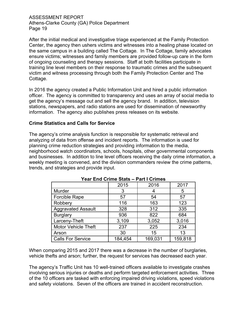After the initial medical and investigative triage experienced at the Family Protection Center, the agency then ushers victims and witnesses into a healing phase located on the same campus in a building called The Cottage. In The Cottage, family advocates ensure victims; witnesses and family members are provided follow-up care in the form of ongoing counseling and therapy sessions. Staff at both facilities participate in training line level members on their response to traumatic crimes and the subsequent victim and witness processing through both the Family Protection Center and The Cottage.

In 2016 the agency created a Public Information Unit and hired a public information officer. The agency is committed to transparency and uses an array of social media to get the agency's message out and sell the agency brand. In addition, television stations, newspapers, and radio stations are used for dissemination of newsworthy information. The agency also publishes press releases on its website.

#### **Crime Statistics and Calls for Service**

The agency's crime analysis function is responsible for systematic retrieval and analyzing of data from offense and incident reports. The information is used for planning crime reduction strategies and providing information to the media, neighborhood watch coordinators, schools, hospitals, other governmental components and businesses. In addition to line level officers receiving the daily crime information, a weekly meeting is convened, and the division commanders review the crime patterns, trends, and strategies and provide input.

| $1 \text{ gal}$ Line Online Oldes $-1$ die Formies |         |         |         |  |  |
|----------------------------------------------------|---------|---------|---------|--|--|
|                                                    | 2015    | 2016    | 2017    |  |  |
| Murder                                             | 3       |         | 5       |  |  |
| Forcible Rape                                      | 57      | 54      | 57      |  |  |
| Robbery                                            | 116     | 163     | 123     |  |  |
| <b>Aggravated Assault</b>                          | 328     | 312     | 335     |  |  |
| <b>Burglary</b>                                    | 936     | 822     | 684     |  |  |
| Larceny-Theft                                      | 3,109   | 3,052   | 3,016   |  |  |
| <b>Motor Vehicle Theft</b>                         | 237     | 225     | 234     |  |  |
| Arson                                              | 30      | 15      | 13      |  |  |
| <b>Calls For Service</b>                           | 184,454 | 169,031 | 159,818 |  |  |

#### **Year End Crime Stats – Part I Crimes**

When comparing 2015 and 2017 there was a decrease in the number of burglaries, vehicle thefts and arson; further, the request for services has decreased each year.

The agency's Traffic Unit has 10 well-trained officers available to investigate crashes involving serious injuries or deaths and perform targeted enforcement activities. Three of the 10 officers are tasked with enforcing impaired driving violations, speed violations and safety violations. Seven of the officers are trained in accident reconstruction.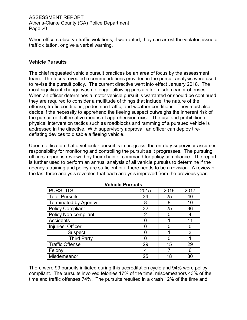When officers observe traffic violations, if warranted, they can arrest the violator, issue a traffic citation, or give a verbal warning.

## **Vehicle Pursuits**

The chief requested vehicle pursuit practices be an area of focus by the assessment team. The focus revealed recommendations provided in the pursuit analysis were used to revise the pursuit policy. The current directive went into effect January 2018. The most significant change was no longer allowing pursuits for misdemeanor offenses. When an officer determines a motor vehicle pursuit is warranted or should be continued they are required to consider a multitude of things that include, the nature of the offense, traffic conditions, pedestrian traffic, and weather conditions. They must also decide if the necessity to apprehend the fleeing suspect outweighs the inherent risk of the pursuit or if alternative means of apprehension exist. The use and prohibition of physical intervention tactics such as roadblocks and ramming of a pursued vehicle is addressed in the directive. With supervisory approval, an officer can deploy tiredeflating devices to disable a fleeing vehicle.

Upon notification that a vehicular pursuit is in progress, the on-duty supervisor assumes responsibility for monitoring and controlling the pursuit as it progresses. The pursuing officers' report is reviewed by their chain of command for policy compliance. The report is further used to perform an annual analysis of all vehicle pursuits to determine if the agency's training and policy are sufficient or if there needs to be a revision. A review of the last three analysis revealed that each analysis improved from the previous year.

| <b>PURSUITS</b>             | 2015 | 2016 | 2017 |
|-----------------------------|------|------|------|
| <b>Total Pursuits</b>       | 34   | 25   | 40   |
| <b>Terminated by Agency</b> | 8    | 8    | 10   |
| <b>Policy Compliant</b>     | 32   | 25   | 36   |
| <b>Policy Non-compliant</b> | 2    |      | 4    |
| Accidents                   |      |      | 11   |
| Injuries: Officer           |      |      |      |
| <b>Suspect</b>              |      |      | 3    |
| <b>Third Party</b>          |      |      |      |
| <b>Traffic Offense</b>      | 29   | 15   | 29   |
| Felony                      | 4    |      | 6    |
| Misdemeanor                 | 25   | 18   | 30   |

**Vehicle Pursuits**

There were 99 pursuits initiated during this accreditation cycle and 94% were policy compliant. The pursuits involved felonies 17% of the time, misdemeanors 43% of the time and traffic offenses 74%. The pursuits resulted in a crash 12% of the time and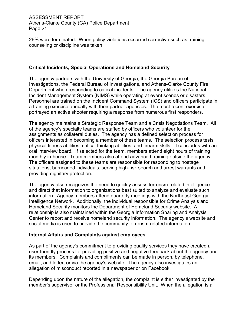26% were terminated. When policy violations occurred corrective such as training, counseling or discipline was taken.

#### **Critical Incidents, Special Operations and Homeland Security**

The agency partners with the University of Georgia, the Georgia Bureau of Investigations, the Federal Bureau of Investigations, and Athens-Clarke County Fire Department when responding to critical incidents. The agency utilizes the National Incident Management System (NIMS) while operating at event scenes or disasters. Personnel are trained on the Incident Command System (ICS) and officers participate in a training exercise annually with their partner agencies. The most recent exercise portrayed an active shooter requiring a response from numerous first responders.

The agency maintains a Strategic Response Team and a Crisis Negotiations Team. All of the agency's specialty teams are staffed by officers who volunteer for the assignments as collateral duties. The agency has a defined selection process for officers interested in becoming a member of these teams. The selection process tests physical fitness abilities, critical thinking abilities, and firearm skills. It concludes with an oral interview board. If selected for the team, members attend eight hours of training monthly in-house. Team members also attend advanced training outside the agency. The officers assigned to these teams are responsible for responding to hostage situations, barricaded individuals, serving high-risk search and arrest warrants and providing dignitary protection.

The agency also recognizes the need to quickly assess terrorism-related intelligence and direct that information to organizations best suited to analyze and evaluate such information. Agency members attend quarterly meetings with the Northeast Georgia Intelligence Network. Additionally, the individual responsible for Crime Analysis and Homeland Security monitors the Department of Homeland Security website. A relationship is also maintained within the Georgia Information Sharing and Analysis Center to report and receive homeland security information. The agency's website and social media is used to provide the community terrorism-related information.

#### **Internal Affairs and Complaints against employees**

As part of the agency's commitment to providing quality services they have created a user-friendly process for providing positive and negative feedback about the agency and its members. Complaints and compliments can be made in person, by telephone, email, and letter, or via the agency's website. The agency also investigates an allegation of misconduct reported in a newspaper or on Facebook.

Depending upon the nature of the allegation, the complaint is either investigated by the member's supervisor or the Professional Responsibility Unit. When the allegation is a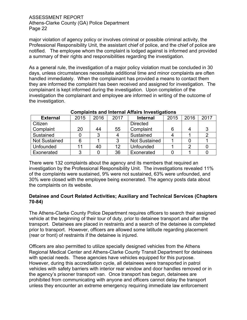major violation of agency policy or involves criminal or possible criminal activity, the Professional Responsibility Unit, the assistant chief of police, and the chief of police are notified. The employee whom the complaint is lodged against is informed and provided a summary of their rights and responsibilities regarding the investigation.

As a general rule, the investigation of a major policy violation must be concluded in 30 days, unless circumstances necessitate additional time and minor complaints are often handled immediately. When the complainant has provided a means to contact them they are informed the complaint has been received and assigned for investigation. The complainant is kept informed during the investigation. Upon completion of the investigation the complainant and employee are informed in writing of the outcome of the investigation.

| <b>External</b>      | 2015 | 2016 | 2017 | <b>Internal</b>      | 2015 | 2016 | 2017 |
|----------------------|------|------|------|----------------------|------|------|------|
| Citizen              |      |      |      | <b>Directed</b>      |      |      |      |
| Complaint            | 20   | 44   | 55   | Complaint            |      | 4    |      |
| Sustained            |      |      |      | Sustained            |      |      |      |
| <b>Not Sustained</b> |      |      |      | <b>Not Sustained</b> |      |      |      |
| Unfounded            |      | 40   | 12   | Unfounded            |      | 2    |      |
| Exonerated           |      |      | 36   | Exonerated           |      |      |      |

#### **Complaints and Internal Affairs Investigations**

There were 132 complaints about the agency and its members that required an investigation by the Professional Responsibility Unit. The investigations revealed 11% of the complaints were sustained, 9% were not sustained, 63% were unfounded, and 30% were closed with the employee being exonerated. The agency posts data about the complaints on its website.

#### **Detainee and Court Related Activities; Auxiliary and Technical Services (Chapters 70-84)**

The Athens-Clarke County Police Department requires officers to search their assigned vehicle at the beginning of their tour of duty, prior to detainee transport and after the transport. Detainees are placed in restraints and a search of the detainee is completed prior to transport. However, officers are allowed some latitude regarding placement (rear or front) of restraints if the detainee is injured.

Officers are also permitted to utilize specially designed vehicles from the Athens Regional Medical Center and Athens-Clarke County Transit Department for detainees with special needs. These agencies have vehicles equipped for this purpose. However, during this accreditation cycle, all detainees were transported in patrol vehicles with safety barriers with interior rear window and door handles removed or in the agency's prisoner transport van. Once transport has begun, detainees are prohibited from communicating with anyone and officers cannot delay the transport unless they encounter an extreme emergency requiring immediate law enforcement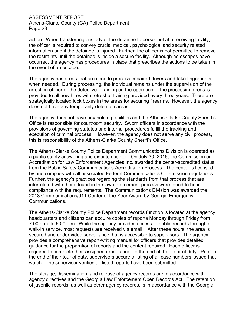action. When transferring custody of the detainee to personnel at a receiving facility, the officer is required to convey crucial medical, psychological and security related information and if the detainee is injured. Further, the officer is not permitted to remove the restraints until the detainee is inside a secure facility. Although no escapes have occurred, the agency has procedures in place that prescribes the actions to be taken in the event of an escape.

The agency has areas that are used to process impaired drivers and take fingerprints when needed. During processing, the individual remains under the supervision of the arresting officer or the detective. Training on the operation of the processing areas is provided to all new hires with refresher training provided every three years. There are strategically located lock boxes in the areas for securing firearms. However, the agency does not have any temporarily detention areas.

The agency does not have any holding facilities and the Athens-Clarke County Sheriff's Office is responsible for courtroom security. Sworn officers in accordance with the provisions of governing statutes and internal procedures fulfill the tracking and execution of criminal process. However, the agency does not serve any civil process, this is responsibility of the Athens-Clarke County Sheriff's Office.

The Athens-Clarke County Police Department Communications Division is operated as a public safety answering and dispatch center. On July 30, 2016, the Commission on Accreditation for Law Enforcement Agencies Inc. awarded the center-accredited status from the Public Safety Communications Accreditation Process. The center is licensed by and complies with all associated Federal Communications Commission regulations. Further, the agency's practices regarding the standards from that process that are interrelated with those found in the law enforcement process were found to be in compliance with the requirements. The Communications Division was awarded the 2018 Communications/911 Center of the Year Award by Georgia Emergency Communications.

The Athens-Clarke County Police Department records function is located at the agency headquarters and citizens can acquire copies of reports Monday through Friday from 7:00 a.m. to 5:00 p.m. While the agency provides access to public records through a walk-in service, most requests are received via email. After these hours, the area is secured and under video surveillance, but is accessible to supervisors. The agency provides a comprehensive report-writing manual for officers that provides detailed guidance for the preparation of reports and the content required. Each officer is required to complete their assigned reports prior to the end of their tour of duty. Prior to the end of their tour of duty, supervisors secure a listing of all case numbers issued that watch. The supervisor verifies all listed reports have been submitted.

The storage, dissemination, and release of agency records are in accordance with agency directives and the Georgia Law Enforcement Open Records Act. The retention of juvenile records, as well as other agency records, is in accordance with the Georgia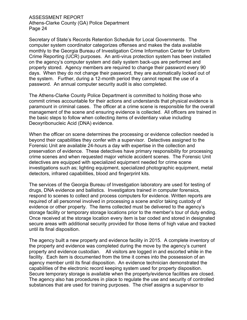Secretary of State's Records Retention Schedule for Local Governments. The computer system coordinator categorizes offenses and makes the data available monthly to the Georgia Bureau of Investigation Crime Information Center for Uniform Crime Reporting (UCR) purposes. An anti-virus protection system has been installed on the agency's computer system and daily system back-ups are performed and properly stored. Agency members are required to change their password every 90 days. When they do not change their password, they are automatically locked out of the system. Further, during a 12-month period they cannot repeat the use of a password. An annual computer security audit is also completed.

The Athens-Clarke County Police Department is committed to holding those who commit crimes accountable for their actions and understands that physical evidence is paramount in criminal cases. The officer at a crime scene is responsible for the overall management of the scene and ensuring evidence is collected. All officers are trained in the basic steps to follow when collecting items of evidentiary value including Deoxyribonucleic Acid (DNA) evidence.

When the officer on scene determines the processing or evidence collection needed is beyond their capabilities they confer with a supervisor. Detectives assigned to the Forensic Unit are available 24-hours a day with expertise in the collection and preservation of evidence. These detectives have primary responsibility for processing crime scenes and when requested major vehicle accident scenes. The Forensic Unit detectives are equipped with specialized equipment needed for crime scene investigations such as; lighting equipment, specialized photographic equipment, metal detectors, infrared capabilities, blood and fingerprint kits.

The services of the Georgia Bureau of Investigation laboratory are used for testing of drugs, DNA evidence and ballistics. Investigators trained in computer forensics, respond to scenes to collect and process computers for evidence. Written reports are required of all personnel involved in processing a scene and/or taking custody of evidence or other property. The items collected must be delivered to the agency's storage facility or temporary storage locations prior to the member's tour of duty ending. Once received at the storage location every item is bar coded and stored in designated secure areas with additional security provided for those items of high value and tracked until its final disposition.

The agency built a new property and evidence facility in 2015. A complete inventory of the property and evidence was completed during the move by the agency's current property and evidence custodian. All visitors are logged in and escorted while in the facility. Each item is documented from the time it comes into the possession of an agency member until its final disposition. An evidence technician demonstrated the capabilities of the electronic record keeping system used for property disposition. Secure temporary storage is available when the property/evidence facilities are closed. The agency also has procedures in place to regulate the use and security of controlled substances that are used for training purposes. The chief assigns a supervisor to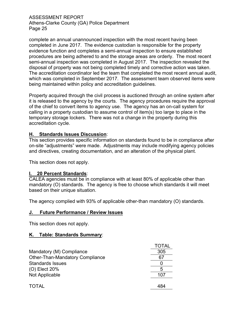complete an annual unannounced inspection with the most recent having been completed in June 2017. The evidence custodian is responsible for the property evidence function and completes a semi-annual inspection to ensure established procedures are being adhered to and the storage areas are orderly. The most recent semi-annual inspection was completed in August 2017. The inspection revealed the disposal of property was not being completed timely and corrective action was taken. The accreditation coordinator led the team that completed the most recent annual audit, which was completed in September 2017. The assessment team observed items were being maintained within policy and accreditation guidelines.

Property acquired through the civil process is auctioned through an online system after it is released to the agency by the courts. The agency procedures require the approval of the chief to convert items to agency use. The agency has an on-call system for calling in a property custodian to assume control of item(s) too large to place in the temporary storage lockers. There was not a change in the property during this accreditation cycle.

## **H. Standards Issues Discussion**:

This section provides specific information on standards found to be in compliance after on-site "adjustments" were made. Adjustments may include modifying agency policies and directives, creating documentation, and an alteration of the physical plant.

This section does not apply.

#### **I. 20 Percent Standards**:

CALEA agencies must be in compliance with at least 80% of applicable other than mandatory (O) standards. The agency is free to choose which standards it will meet based on their unique situation.

The agency complied with 93% of applicable other-than mandatory (O) standards.

#### **J. Future Performance / Review Issues**

This section does not apply.

#### **K. Table: Standards Summary**:

|                                        | TOTAL |
|----------------------------------------|-------|
| Mandatory (M) Compliance               | 305   |
| <b>Other-Than-Mandatory Compliance</b> | 67    |
| <b>Standards Issues</b>                |       |
| (O) Elect 20%                          |       |
| Not Applicable                         | 107   |
|                                        |       |
| <b>TOTAL</b>                           | 484   |